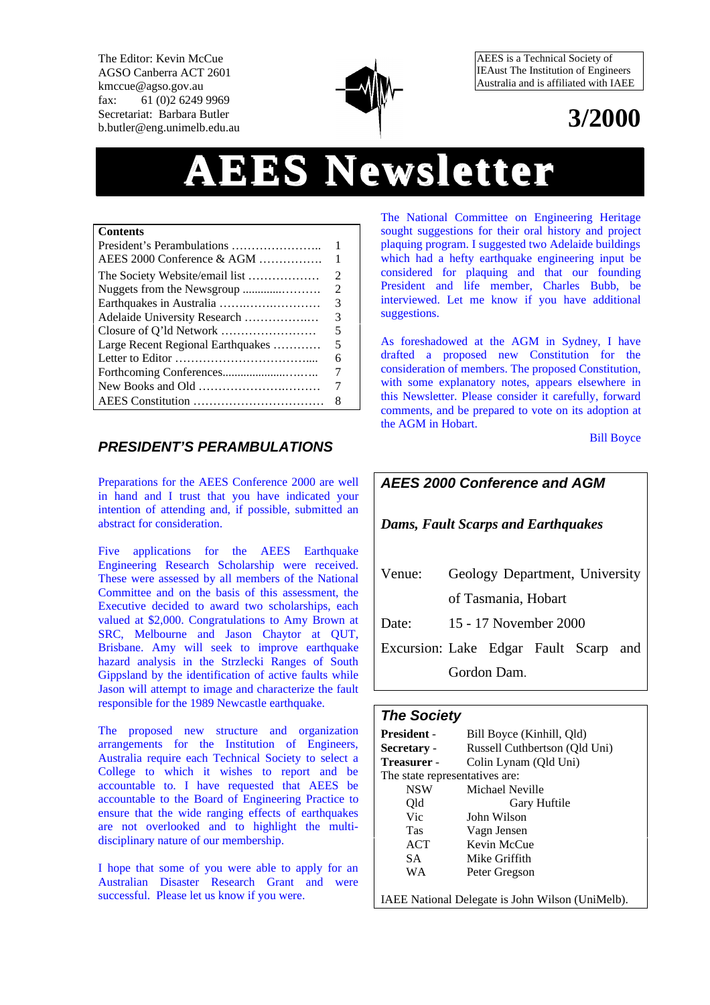The Editor: Kevin McCue AGSO Canberra ACT 2601 kmccue@agso.gov.au fax: 61 (0)2 6249 9969 Secretariat: Barbara Butler b.butler@eng.unimelb.edu.au



AEES is a Technical Society of IEAust The Institution of Engineers Australia and is affiliated with IAEE

# **3/2000**

# **AEES Newsletter**

#### **Contents**

| AEES 2000 Conference & AGM                                                       |                             |
|----------------------------------------------------------------------------------|-----------------------------|
| The Society Website/email list                                                   | $\mathcal{D}_{\mathcal{A}}$ |
|                                                                                  | 2                           |
|                                                                                  | 3                           |
| Adelaide University Research                                                     | 3                           |
|                                                                                  | 5                           |
| Large Recent Regional Earthquakes                                                | 5                           |
|                                                                                  | 6                           |
|                                                                                  | 7                           |
| New Books and Old $\dots\dots\dots\dots\dots\dots\dots\dots\dots\dots\dots\dots$ |                             |
|                                                                                  | 8                           |

### *PRESIDENT'S PERAMBULATIONS*

Preparations for the AEES Conference 2000 are well in hand and I trust that you have indicated your intention of attending and, if possible, submitted an abstract for consideration.

Five applications for the AEES Earthquake Engineering Research Scholarship were received. These were assessed by all members of the National Committee and on the basis of this assessment, the Executive decided to award two scholarships, each valued at \$2,000. Congratulations to Amy Brown at SRC, Melbourne and Jason Chaytor at QUT, Brisbane. Amy will seek to improve earthquake hazard analysis in the Strzlecki Ranges of South Gippsland by the identification of active faults while Jason will attempt to image and characterize the fault responsible for the 1989 Newcastle earthquake.

The proposed new structure and organization arrangements for the Institution of Engineers, Australia require each Technical Society to select a College to which it wishes to report and be accountable to. I have requested that AEES be accountable to the Board of Engineering Practice to ensure that the wide ranging effects of earthquakes are not overlooked and to highlight the multidisciplinary nature of our membership.

I hope that some of you were able to apply for an Australian Disaster Research Grant and were successful. Please let us know if you were.

The National Committee on Engineering Heritage sought suggestions for their oral history and project plaquing program. I suggested two Adelaide buildings which had a hefty earthquake engineering input be considered for plaquing and that our founding President and life member, Charles Bubb, be interviewed. Let me know if you have additional suggestions.

As foreshadowed at the AGM in Sydney, I have drafted a proposed new Constitution for the consideration of members. The proposed Constitution, with some explanatory notes, appears elsewhere in this Newsletter. Please consider it carefully, forward comments, and be prepared to vote on its adoption at the AGM in Hobart.

Bill Boyce

# *AEES 2000 Conference and AGM Dams, Fault Scarps and Earthquakes* Venue: Geology Department, University of Tasmania, Hobart Date: 15 - 17 November 2000 Excursion: Lake Edgar Fault Scarp and Gordon Dam.

### *The Society*

| <b>President -</b>             | Bill Boyce (Kinhill, Qld)                        |  |  |  |  |  |
|--------------------------------|--------------------------------------------------|--|--|--|--|--|
| Secretary -                    | Russell Cuthbertson (Qld Uni)                    |  |  |  |  |  |
| Treasurer -                    | Colin Lynam (Qld Uni)                            |  |  |  |  |  |
| The state representatives are: |                                                  |  |  |  |  |  |
| <b>NSW</b>                     | Michael Neville                                  |  |  |  |  |  |
| Old                            | Gary Huftile                                     |  |  |  |  |  |
| Vic                            | John Wilson                                      |  |  |  |  |  |
| <b>Tas</b>                     | Vagn Jensen                                      |  |  |  |  |  |
| ACT                            | Kevin McCue                                      |  |  |  |  |  |
| <b>SA</b>                      | Mike Griffith                                    |  |  |  |  |  |
| WA                             | Peter Gregson                                    |  |  |  |  |  |
|                                | IAEE National Delegate is John Wilson (UniMelb). |  |  |  |  |  |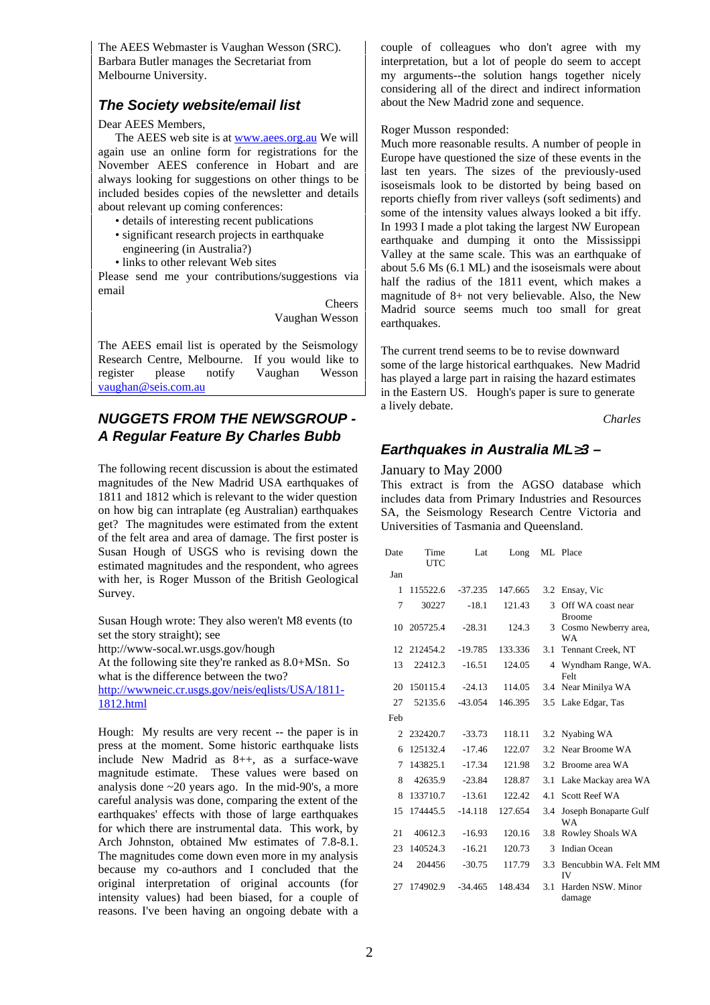The AEES Webmaster is Vaughan Wesson (SRC). Barbara Butler manages the Secretariat from Melbourne University.

# *The Society website/email list*

#### Dear AEES Members,

The AEES web site is at www.aees.org.au We will again use an online form for registrations for the November AEES conference in Hobart and are always looking for suggestions on other things to be included besides copies of the newsletter and details about relevant up coming conferences:

- details of interesting recent publications
- significant research projects in earthquake engineering (in Australia?)
- links to other relevant Web sites

Please send me your contributions/suggestions via email

> Cheers Vaughan Wesson

The AEES email list is operated by the Seismology Research Centre, Melbourne. If you would like to<br>register please notify Vaughan Wesson register please notify Vaughan vaughan@seis.com.au

# *NUGGETS FROM THE NEWSGROUP - A Regular Feature By Charles Bubb*

The following recent discussion is about the estimated magnitudes of the New Madrid USA earthquakes of 1811 and 1812 which is relevant to the wider question on how big can intraplate (eg Australian) earthquakes get? The magnitudes were estimated from the extent of the felt area and area of damage. The first poster is Susan Hough of USGS who is revising down the estimated magnitudes and the respondent, who agrees with her, is Roger Musson of the British Geological Survey.

Susan Hough wrote: They also weren't M8 events (to set the story straight); see http://www-socal.wr.usgs.gov/hough

At the following site they're ranked as 8.0+MSn. So what is the difference between the two?

http://wwwneic.cr.usgs.gov/neis/eqlists/USA/1811- 1812.html

Hough: My results are very recent -- the paper is in press at the moment. Some historic earthquake lists include New Madrid as 8++, as a surface-wave magnitude estimate. These values were based on analysis done ~20 years ago. In the mid-90's, a more careful analysis was done, comparing the extent of the earthquakes' effects with those of large earthquakes for which there are instrumental data. This work, by Arch Johnston, obtained Mw estimates of 7.8-8.1. The magnitudes come down even more in my analysis because my co-authors and I concluded that the original interpretation of original accounts (for intensity values) had been biased, for a couple of reasons. I've been having an ongoing debate with a

couple of colleagues who don't agree with my interpretation, but a lot of people do seem to accept my arguments--the solution hangs together nicely considering all of the direct and indirect information about the New Madrid zone and sequence.

Roger Musson responded:

Much more reasonable results. A number of people in Europe have questioned the size of these events in the last ten years. The sizes of the previously-used isoseismals look to be distorted by being based on reports chiefly from river valleys (soft sediments) and some of the intensity values always looked a bit iffy. In 1993 I made a plot taking the largest NW European earthquake and dumping it onto the Mississippi Valley at the same scale. This was an earthquake of about 5.6 Ms (6.1 ML) and the isoseismals were about half the radius of the 1811 event, which makes a magnitude of 8+ not very believable. Also, the New Madrid source seems much too small for great earthquakes.

The current trend seems to be to revise downward some of the large historical earthquakes. New Madrid has played a large part in raising the hazard estimates in the Eastern US. Hough's paper is sure to generate a lively debate.

*Charles*

#### *Earthquakes in Australia ML 3 –*

#### January to May 2000

This extract is from the AGSO database which includes data from Primary Industries and Resources SA, the Seismology Research Centre Victoria and Universities of Tasmania and Queensland.

| Date           | Time<br><b>UTC</b> | Lat       | Long    |               | ML Place                            |
|----------------|--------------------|-----------|---------|---------------|-------------------------------------|
| Jan            |                    |           |         |               |                                     |
| 1              | 115522.6           | $-37.235$ | 147.665 |               | 3.2 Ensay, Vic                      |
| 7              | 30227              | $-18.1$   | 121.43  | $\mathcal{R}$ | Off WA coast near<br><b>Broome</b>  |
| 10             | 205725.4           | $-28.31$  | 124.3   |               | 3 Cosmo Newberry area,<br><b>WA</b> |
| 12             | 212454.2           | $-19.785$ | 133.336 | 3.1           | Tennant Creek, NT                   |
| 13             | 22412.3            | $-16.51$  | 124.05  |               | 4 Wyndham Range, WA.<br>Felt        |
| 20             | 150115.4           | $-24.13$  | 114.05  | 3.4           | Near Minilya WA                     |
| 27             | 52135.6            | $-43.054$ | 146.395 |               | 3.5 Lake Edgar, Tas                 |
| Feb            |                    |           |         |               |                                     |
| $\mathfrak{D}$ | 232420.7           | $-33.73$  | 118.11  |               | 3.2 Nyabing WA                      |
| 6              | 125132.4           | $-17.46$  | 122.07  | 3.2           | Near Broome WA                      |
| 7              | 143825.1           | $-17.34$  | 121.98  | 3.2           | Broome area WA                      |
| 8              | 42635.9            | $-23.84$  | 128.87  | 3.1           | Lake Mackay area WA                 |
| 8              | 133710.7           | $-13.61$  | 122.42  | 4.1           | Scott Reef WA                       |
| 15             | 174445.5           | $-14.118$ | 127.654 | 3.4           | Joseph Bonaparte Gulf<br>WA         |
| 21             | 40612.3            | $-16.93$  | 120.16  | 3.8           | Rowley Shoals WA                    |
| 23             | 140524.3           | $-16.21$  | 120.73  | 3             | <b>Indian Ocean</b>                 |
| 24             | 204456             | $-30.75$  | 117.79  | 3.3           | Bencubbin WA. Felt MM<br><b>IV</b>  |
| 27             | 174902.9           | $-34.465$ | 148.434 | 3.1           | Harden NSW. Minor<br>damage         |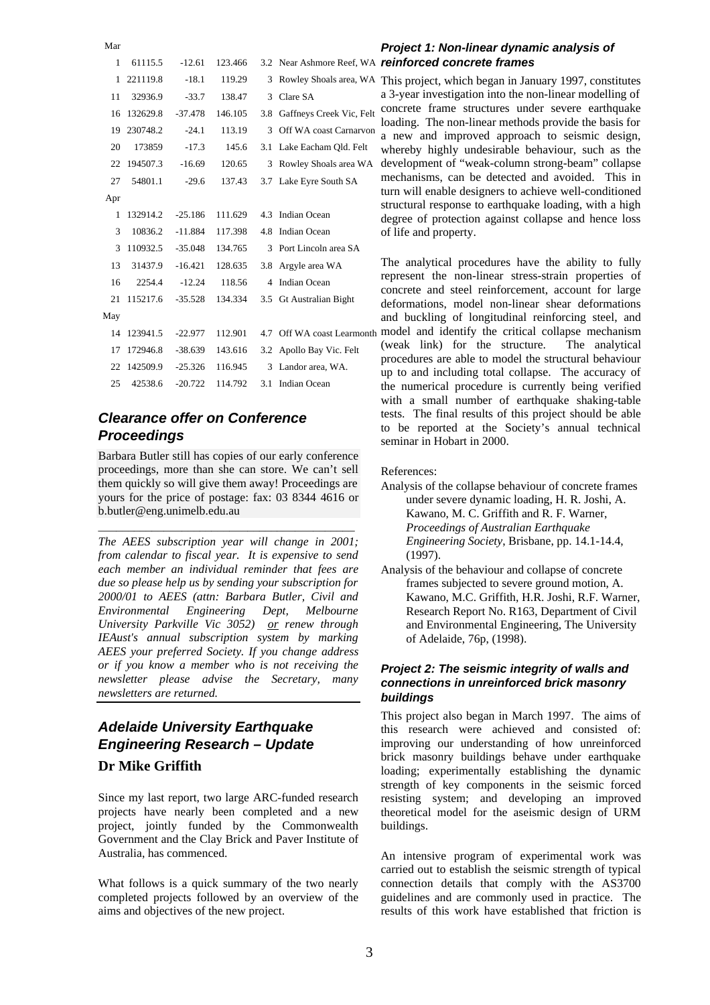# Mar 1 61115.5 -12.61 123.466 3.2 Near Ashmore Reef, WA *reinforced concrete frames* 11 32936.9 -33.7 138.47 3 Clare SA 16 132629.8 -37.478 146.105 3.8 Gaffneys Creek Vic, Felt 19 230748.2 -24.1 113.19 3 Off WA coast Carnarvon 20 173859 -17.3 145.6 3.1 Lake Eacham Qld. Felt 22 194507.3 -16.69 120.65 3 Rowley Shoals area WA 27 54801.1 -29.6 137.43 3.7 Lake Eyre South SA Apr 1 132914.2 -25.186 111.629 4.3 Indian Ocean 3 10836.2 -11.884 117.398 4.8 Indian Ocean 3 110932.5 -35.048 134.765 3 Port Lincoln area SA 13 31437.9 -16.421 128.635 3.8 Argyle area WA 16 2254.4 -12.24 118.56 4 Indian Ocean 21 115217.6 -35.528 134.334 3.5 Gt Australian Bight May 17 172946.8 -38.639 143.616 3.2 Apollo Bay Vic. Felt 22 142509.9 -25.326 116.945 3 Landor area, WA. 25 42538.6 -20.722 114.792 3.1 Indian Ocean

# *Clearance offer on Conference Proceedings*

Barbara Butler still has copies of our early conference proceedings, more than she can store. We can't sell them quickly so will give them away! Proceedings are yours for the price of postage: fax: 03 8344 4616 or b.butler@eng.unimelb.edu.au

\_\_\_\_\_\_\_\_\_\_\_\_\_\_\_\_\_\_\_\_\_\_\_\_\_\_\_\_\_\_\_\_\_\_\_\_\_\_\_\_\_\_\_

*The AEES subscription year will change in 2001; from calendar to fiscal year. It is expensive to send each member an individual reminder that fees are due so please help us by sending your subscription for 2000/01 to AEES (attn: Barbara Butler, Civil and Environmental Engineering Dept, Melbourne University Parkville Vic 3052) or renew through IEAust's annual subscription system by marking AEES your preferred Society. If you change address or if you know a member who is not receiving the newsletter please advise the Secretary, many newsletters are returned.*

# *Adelaide University Earthquake Engineering Research – Update* **Dr Mike Griffith**

Since my last report, two large ARC-funded research projects have nearly been completed and a new project, jointly funded by the Commonwealth Government and the Clay Brick and Paver Institute of Australia, has commenced.

What follows is a quick summary of the two nearly completed projects followed by an overview of the aims and objectives of the new project.

# *Project 1: Non-linear dynamic analysis of*

1 221119.8 -18.1 119.29 3 Rowley Shoals area, WA This project, which began in January 1997, constitutes a 3-year investigation into the non-linear modelling of concrete frame structures under severe earthquake loading. The non-linear methods provide the basis for a new and improved approach to seismic design, whereby highly undesirable behaviour, such as the development of "weak-column strong-beam" collapse mechanisms, can be detected and avoided. This in turn will enable designers to achieve well-conditioned structural response to earthquake loading, with a high degree of protection against collapse and hence loss of life and property.

14 123941.5 -22.977 112.901 4.7 Off WA coast Learmonth model and identify the critical collapse mechanism The analytical procedures have the ability to fully represent the non-linear stress-strain properties of concrete and steel reinforcement, account for large deformations, model non-linear shear deformations and buckling of longitudinal reinforcing steel, and (weak link) for the structure. The analytical procedures are able to model the structural behaviour up to and including total collapse. The accuracy of the numerical procedure is currently being verified with a small number of earthquake shaking-table tests. The final results of this project should be able to be reported at the Society's annual technical seminar in Hobart in 2000.

References:

- Analysis of the collapse behaviour of concrete frames under severe dynamic loading, H. R. Joshi, A. Kawano, M. C. Griffith and R. F. Warner, *Proceedings of Australian Earthquake Engineering Society*, Brisbane, pp. 14.1-14.4, (1997).
- Analysis of the behaviour and collapse of concrete frames subjected to severe ground motion, A. Kawano, M.C. Griffith, H.R. Joshi, R.F. Warner, Research Report No. R163, Department of Civil and Environmental Engineering, The University of Adelaide, 76p, (1998).

#### *Project 2: The seismic integrity of walls and connections in unreinforced brick masonry buildings*

This project also began in March 1997. The aims of this research were achieved and consisted of: improving our understanding of how unreinforced brick masonry buildings behave under earthquake loading; experimentally establishing the dynamic strength of key components in the seismic forced resisting system; and developing an improved theoretical model for the aseismic design of URM buildings.

An intensive program of experimental work was carried out to establish the seismic strength of typical connection details that comply with the AS3700 guidelines and are commonly used in practice. The results of this work have established that friction is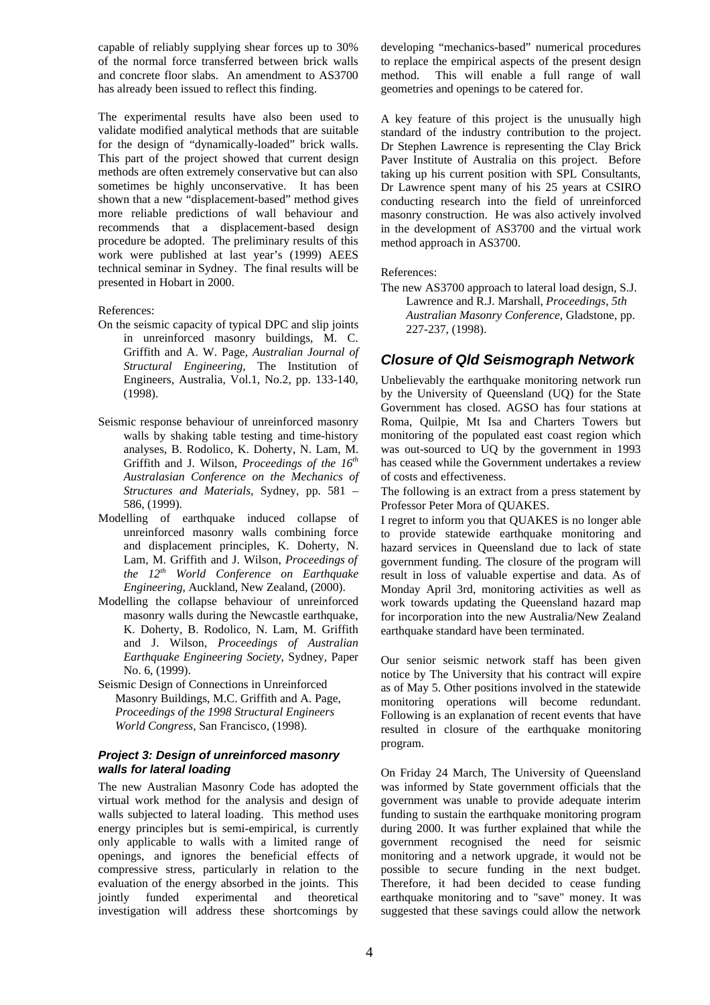capable of reliably supplying shear forces up to 30% of the normal force transferred between brick walls and concrete floor slabs. An amendment to AS3700 has already been issued to reflect this finding.

The experimental results have also been used to validate modified analytical methods that are suitable for the design of "dynamically-loaded" brick walls. This part of the project showed that current design methods are often extremely conservative but can also sometimes be highly unconservative. It has been shown that a new "displacement-based" method gives more reliable predictions of wall behaviour and recommends that a displacement-based design procedure be adopted. The preliminary results of this work were published at last year's (1999) AEES technical seminar in Sydney. The final results will be presented in Hobart in 2000.

References:

- On the seismic capacity of typical DPC and slip joints in unreinforced masonry buildings, M. C. Griffith and A. W. Page, *Australian Journal of Structural Engineering,* The Institution of Engineers, Australia, Vol.1, No.2, pp. 133-140, (1998).
- Seismic response behaviour of unreinforced masonry walls by shaking table testing and time-history analyses, B. Rodolico, K. Doherty, N. Lam, M. Griffith and J. Wilson, *Proceedings of the 16th Australasian Conference on the Mechanics of Structures and Materials,* Sydney, pp. 581 – 586, (1999).
- Modelling of earthquake induced collapse of unreinforced masonry walls combining force and displacement principles, K. Doherty, N. Lam, M. Griffith and J. Wilson, *Proceedings of the 12th World Conference on Earthquake Engineering,* Auckland, New Zealand, (2000).
- Modelling the collapse behaviour of unreinforced masonry walls during the Newcastle earthquake, K. Doherty, B. Rodolico, N. Lam, M. Griffith and J. Wilson, *Proceedings of Australian Earthquake Engineering Society*, Sydney, Paper No. 6, (1999).
- Seismic Design of Connections in Unreinforced Masonry Buildings, M.C. Griffith and A. Page, *Proceedings of the 1998 Structural Engineers World Congress*, San Francisco, (1998).

#### *Project 3: Design of unreinforced masonry walls for lateral loading*

The new Australian Masonry Code has adopted the virtual work method for the analysis and design of walls subjected to lateral loading. This method uses energy principles but is semi-empirical, is currently only applicable to walls with a limited range of openings, and ignores the beneficial effects of compressive stress, particularly in relation to the evaluation of the energy absorbed in the joints. This jointly funded experimental and theoretical investigation will address these shortcomings by

developing "mechanics-based" numerical procedures to replace the empirical aspects of the present design method. This will enable a full range of wall geometries and openings to be catered for.

A key feature of this project is the unusually high standard of the industry contribution to the project. Dr Stephen Lawrence is representing the Clay Brick Paver Institute of Australia on this project. Before taking up his current position with SPL Consultants, Dr Lawrence spent many of his 25 years at CSIRO conducting research into the field of unreinforced masonry construction. He was also actively involved in the development of AS3700 and the virtual work method approach in AS3700.

#### References:

The new AS3700 approach to lateral load design, S.J. Lawrence and R.J. Marshall, *Proceedings, 5th Australian Masonry Conference*, Gladstone, pp. 227-237, (1998).

#### *Closure of Qld Seismograph Network*

Unbelievably the earthquake monitoring network run by the University of Queensland (UQ) for the State Government has closed. AGSO has four stations at Roma, Quilpie, Mt Isa and Charters Towers but monitoring of the populated east coast region which was out-sourced to UQ by the government in 1993 has ceased while the Government undertakes a review of costs and effectiveness.

The following is an extract from a press statement by Professor Peter Mora of QUAKES.

I regret to inform you that QUAKES is no longer able to provide statewide earthquake monitoring and hazard services in Queensland due to lack of state government funding. The closure of the program will result in loss of valuable expertise and data. As of Monday April 3rd, monitoring activities as well as work towards updating the Queensland hazard map for incorporation into the new Australia/New Zealand earthquake standard have been terminated.

Our senior seismic network staff has been given notice by The University that his contract will expire as of May 5. Other positions involved in the statewide monitoring operations will become redundant. Following is an explanation of recent events that have resulted in closure of the earthquake monitoring program.

On Friday 24 March, The University of Queensland was informed by State government officials that the government was unable to provide adequate interim funding to sustain the earthquake monitoring program during 2000. It was further explained that while the government recognised the need for seismic monitoring and a network upgrade, it would not be possible to secure funding in the next budget. Therefore, it had been decided to cease funding earthquake monitoring and to "save" money. It was suggested that these savings could allow the network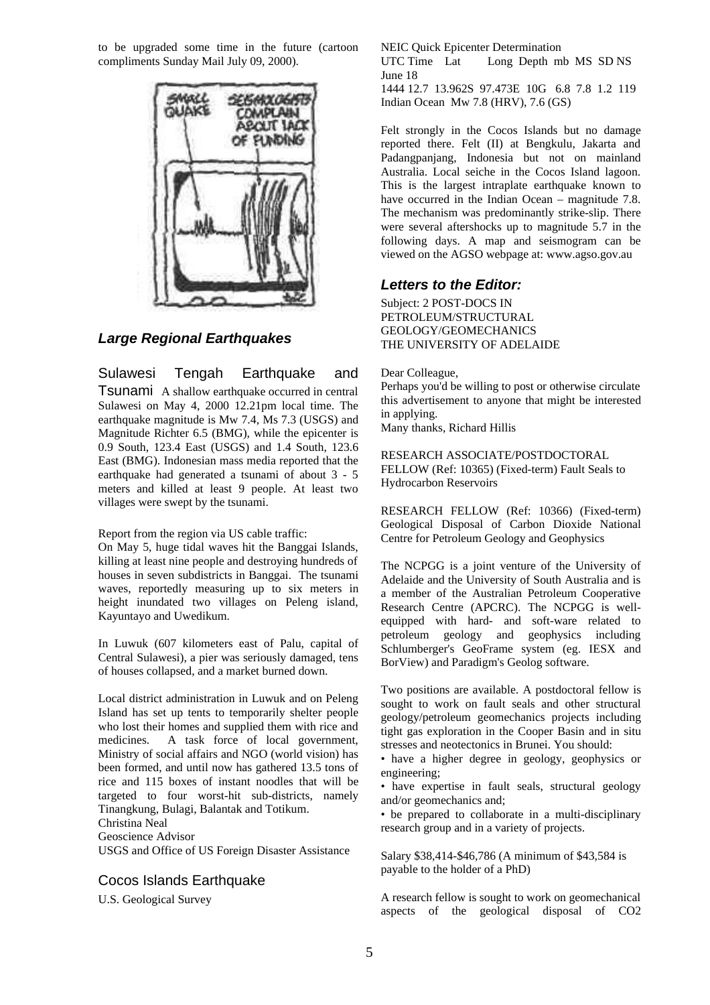to be upgraded some time in the future (cartoon compliments Sunday Mail July 09, 2000).



#### *Large Regional Earthquakes*

Sulawesi Tengah Earthquake and Tsunami A shallow earthquake occurred in central Sulawesi on May 4, 2000 12.21pm local time. The earthquake magnitude is Mw 7.4, Ms 7.3 (USGS) and Magnitude Richter 6.5 (BMG), while the epicenter is 0.9 South, 123.4 East (USGS) and 1.4 South, 123.6 East (BMG). Indonesian mass media reported that the earthquake had generated a tsunami of about 3 - 5 meters and killed at least 9 people. At least two villages were swept by the tsunami.

Report from the region via US cable traffic:

On May 5, huge tidal waves hit the Banggai Islands, killing at least nine people and destroying hundreds of houses in seven subdistricts in Banggai. The tsunami waves, reportedly measuring up to six meters in height inundated two villages on Peleng island, Kayuntayo and Uwedikum.

In Luwuk (607 kilometers east of Palu, capital of Central Sulawesi), a pier was seriously damaged, tens of houses collapsed, and a market burned down.

Local district administration in Luwuk and on Peleng Island has set up tents to temporarily shelter people who lost their homes and supplied them with rice and medicines. A task force of local government, Ministry of social affairs and NGO (world vision) has been formed, and until now has gathered 13.5 tons of rice and 115 boxes of instant noodles that will be targeted to four worst-hit sub-districts, namely Tinangkung, Bulagi, Balantak and Totikum. Christina Neal

Geoscience Advisor

USGS and Office of US Foreign Disaster Assistance

#### Cocos Islands Earthquake

U.S. Geological Survey

NEIC Quick Epicenter Determination

UTC Time Lat Long Depth mb MS SD NS June 18

1444 12.7 13.962S 97.473E 10G 6.8 7.8 1.2 119 Indian Ocean Mw 7.8 (HRV), 7.6 (GS)

Felt strongly in the Cocos Islands but no damage reported there. Felt (II) at Bengkulu, Jakarta and Padangpanjang, Indonesia but not on mainland Australia. Local seiche in the Cocos Island lagoon. This is the largest intraplate earthquake known to have occurred in the Indian Ocean – magnitude 7.8. The mechanism was predominantly strike-slip. There were several aftershocks up to magnitude 5.7 in the following days. A map and seismogram can be viewed on the AGSO webpage at: www.agso.gov.au

#### *Letters to the Editor:*

Subject: 2 POST-DOCS IN PETROLEUM/STRUCTURAL GEOLOGY/GEOMECHANICS THE UNIVERSITY OF ADELAIDE

#### Dear Colleague,

Perhaps you'd be willing to post or otherwise circulate this advertisement to anyone that might be interested in applying.

Many thanks, Richard Hillis

RESEARCH ASSOCIATE/POSTDOCTORAL FELLOW (Ref: 10365) (Fixed-term) Fault Seals to Hydrocarbon Reservoirs

RESEARCH FELLOW (Ref: 10366) (Fixed-term) Geological Disposal of Carbon Dioxide National Centre for Petroleum Geology and Geophysics

The NCPGG is a joint venture of the University of Adelaide and the University of South Australia and is a member of the Australian Petroleum Cooperative Research Centre (APCRC). The NCPGG is wellequipped with hard- and soft-ware related to petroleum geology and geophysics including Schlumberger's GeoFrame system (eg. IESX and BorView) and Paradigm's Geolog software.

Two positions are available. A postdoctoral fellow is sought to work on fault seals and other structural geology/petroleum geomechanics projects including tight gas exploration in the Cooper Basin and in situ stresses and neotectonics in Brunei. You should:

• have a higher degree in geology, geophysics or engineering;

• have expertise in fault seals, structural geology and/or geomechanics and;

• be prepared to collaborate in a multi-disciplinary research group and in a variety of projects.

Salary \$38,414-\$46,786 (A minimum of \$43,584 is payable to the holder of a PhD)

A research fellow is sought to work on geomechanical aspects of the geological disposal of CO2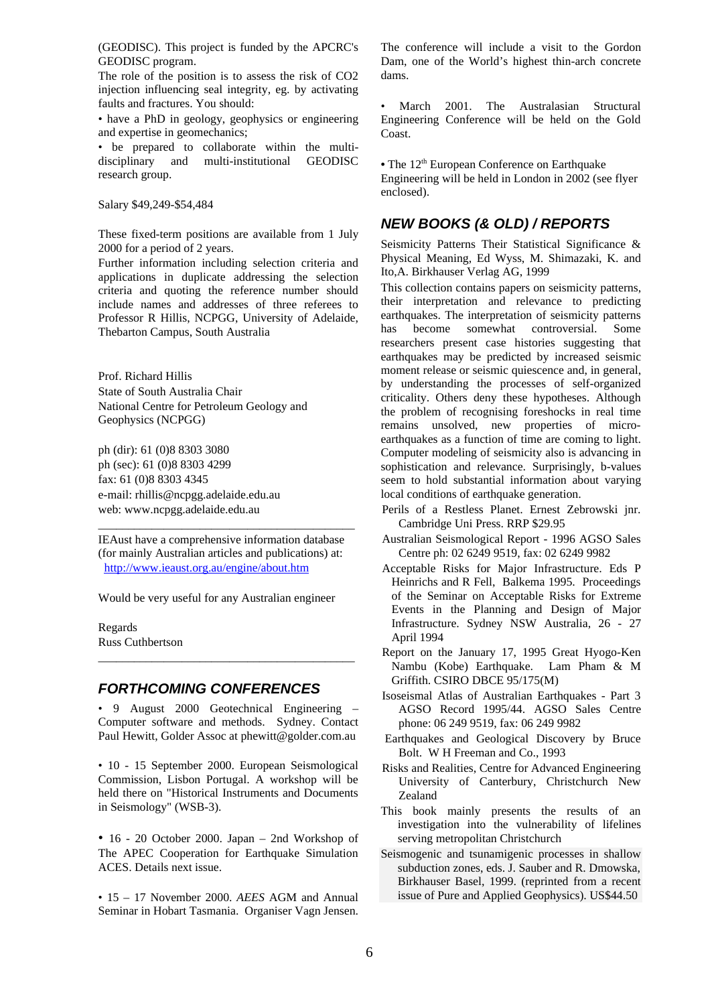(GEODISC). This project is funded by the APCRC's GEODISC program.

The role of the position is to assess the risk of CO2 injection influencing seal integrity, eg. by activating faults and fractures. You should:

• have a PhD in geology, geophysics or engineering and expertise in geomechanics;

• be prepared to collaborate within the multidisciplinary and multi-institutional GEODISC research group.

Salary \$49,249-\$54,484

These fixed-term positions are available from 1 July 2000 for a period of 2 years.

Further information including selection criteria and applications in duplicate addressing the selection criteria and quoting the reference number should include names and addresses of three referees to Professor R Hillis, NCPGG, University of Adelaide, Thebarton Campus, South Australia

Prof. Richard Hillis State of South Australia Chair National Centre for Petroleum Geology and Geophysics (NCPGG)

ph (dir): 61 (0)8 8303 3080 ph (sec): 61 (0)8 8303 4299 fax: 61 (0)8 8303 4345 e-mail: rhillis@ncpgg.adelaide.edu.au web: www.ncpgg.adelaide.edu.au

IEAust have a comprehensive information database (for mainly Australian articles and publications) at: http://www.ieaust.org.au/engine/about.htm

\_\_\_\_\_\_\_\_\_\_\_\_\_\_\_\_\_\_\_\_\_\_\_\_\_\_\_\_\_\_\_\_\_\_\_\_\_\_\_\_\_\_\_

Would be very useful for any Australian engineer

Regards Russ Cuthbertson

#### *FORTHCOMING CONFERENCES*

• 9 August 2000 Geotechnical Engineering – Computer software and methods. Sydney. Contact Paul Hewitt, Golder Assoc at phewitt@golder.com.au

\_\_\_\_\_\_\_\_\_\_\_\_\_\_\_\_\_\_\_\_\_\_\_\_\_\_\_\_\_\_\_\_\_\_\_\_\_\_\_\_\_\_\_

• 10 - 15 September 2000. European Seismological Commission, Lisbon Portugal. A workshop will be held there on "Historical Instruments and Documents in Seismology" (WSB-3).

• 16 - 20 October 2000. Japan – 2nd Workshop of The APEC Cooperation for Earthquake Simulation ACES. Details next issue.

• 15 – 17 November 2000. *AEES* AGM and Annual Seminar in Hobart Tasmania. Organiser Vagn Jensen. The conference will include a visit to the Gordon Dam, one of the World's highest thin-arch concrete dams.

• March 2001. The Australasian Structural Engineering Conference will be held on the Gold Coast.

• The 12<sup>th</sup> European Conference on Earthquake Engineering will be held in London in 2002 (see flyer enclosed).

#### *NEW BOOKS (& OLD) / REPORTS*

Seismicity Patterns Their Statistical Significance & Physical Meaning, Ed Wyss, M. Shimazaki, K. and Ito,A. Birkhauser Verlag AG, 1999

This collection contains papers on seismicity patterns, their interpretation and relevance to predicting earthquakes. The interpretation of seismicity patterns has become somewhat controversial. Some researchers present case histories suggesting that earthquakes may be predicted by increased seismic moment release or seismic quiescence and, in general, by understanding the processes of self-organized criticality. Others deny these hypotheses. Although the problem of recognising foreshocks in real time remains unsolved, new properties of microearthquakes as a function of time are coming to light. Computer modeling of seismicity also is advancing in sophistication and relevance. Surprisingly, b-values seem to hold substantial information about varying local conditions of earthquake generation.

- Perils of a Restless Planet. Ernest Zebrowski jnr. Cambridge Uni Press. RRP \$29.95
- Australian Seismological Report 1996 AGSO Sales Centre ph: 02 6249 9519, fax: 02 6249 9982
- Acceptable Risks for Major Infrastructure. Eds P Heinrichs and R Fell, Balkema 1995. Proceedings of the Seminar on Acceptable Risks for Extreme Events in the Planning and Design of Major Infrastructure. Sydney NSW Australia, 26 - 27 April 1994
- Report on the January 17, 1995 Great Hyogo-Ken Nambu (Kobe) Earthquake. Lam Pham & M Griffith. CSIRO DBCE 95/175(M)
- Isoseismal Atlas of Australian Earthquakes Part 3 AGSO Record 1995/44. AGSO Sales Centre phone: 06 249 9519, fax: 06 249 9982
- Earthquakes and Geological Discovery by Bruce Bolt. W H Freeman and Co., 1993
- Risks and Realities, Centre for Advanced Engineering University of Canterbury, Christchurch New Zealand
- This book mainly presents the results of an investigation into the vulnerability of lifelines serving metropolitan Christchurch
- Seismogenic and tsunamigenic processes in shallow subduction zones, eds. J. Sauber and R. Dmowska, Birkhauser Basel, 1999. (reprinted from a recent issue of Pure and Applied Geophysics). US\$44.50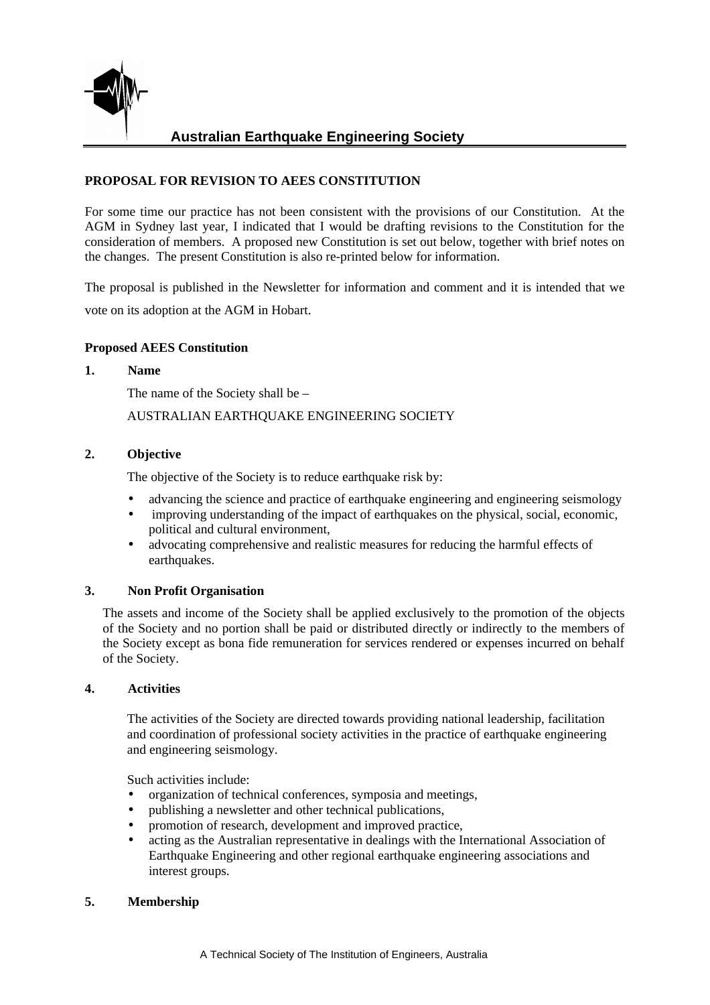

# **Australian Earthquake Engineering Society**

### **PROPOSAL FOR REVISION TO AEES CONSTITUTION**

For some time our practice has not been consistent with the provisions of our Constitution. At the AGM in Sydney last year, I indicated that I would be drafting revisions to the Constitution for the consideration of members. A proposed new Constitution is set out below, together with brief notes on the changes. The present Constitution is also re-printed below for information.

The proposal is published in the Newsletter for information and comment and it is intended that we vote on its adoption at the AGM in Hobart.

#### **Proposed AEES Constitution**

#### **1. Name**

The name of the Society shall be –

AUSTRALIAN EARTHQUAKE ENGINEERING SOCIETY

#### **2. Objective**

The objective of the Society is to reduce earthquake risk by:

- advancing the science and practice of earthquake engineering and engineering seismology
- improving understanding of the impact of earthquakes on the physical, social, economic, political and cultural environment,
- advocating comprehensive and realistic measures for reducing the harmful effects of earthquakes.

#### **3. Non Profit Organisation**

The assets and income of the Society shall be applied exclusively to the promotion of the objects of the Society and no portion shall be paid or distributed directly or indirectly to the members of the Society except as bona fide remuneration for services rendered or expenses incurred on behalf of the Society.

#### **4. Activities**

The activities of the Society are directed towards providing national leadership, facilitation and coordination of professional society activities in the practice of earthquake engineering and engineering seismology.

Such activities include:

- organization of technical conferences, symposia and meetings,
- publishing a newsletter and other technical publications,
- promotion of research, development and improved practice,
- acting as the Australian representative in dealings with the International Association of Earthquake Engineering and other regional earthquake engineering associations and interest groups.

#### **5. Membership**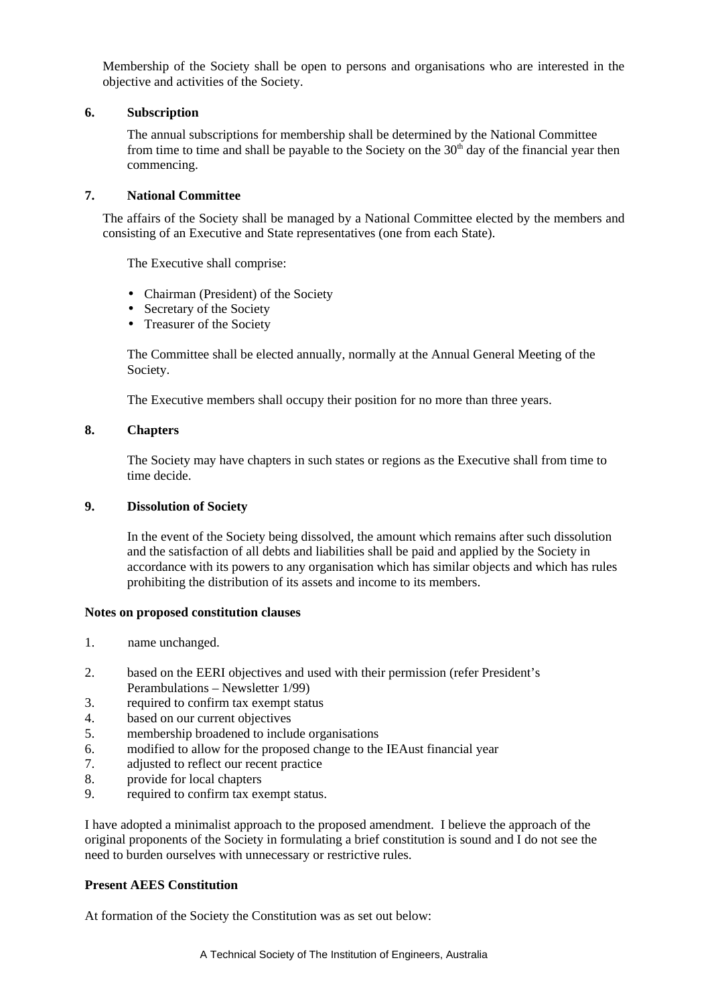Membership of the Society shall be open to persons and organisations who are interested in the objective and activities of the Society.

#### **6. Subscription**

The annual subscriptions for membership shall be determined by the National Committee from time to time and shall be payable to the Society on the  $30<sup>th</sup>$  day of the financial year then commencing.

#### **7. National Committee**

The affairs of the Society shall be managed by a National Committee elected by the members and consisting of an Executive and State representatives (one from each State).

The Executive shall comprise:

- Chairman (President) of the Society
- Secretary of the Society
- Treasurer of the Society

The Committee shall be elected annually, normally at the Annual General Meeting of the Society.

The Executive members shall occupy their position for no more than three years.

#### **8. Chapters**

The Society may have chapters in such states or regions as the Executive shall from time to time decide.

#### **9. Dissolution of Society**

In the event of the Society being dissolved, the amount which remains after such dissolution and the satisfaction of all debts and liabilities shall be paid and applied by the Society in accordance with its powers to any organisation which has similar objects and which has rules prohibiting the distribution of its assets and income to its members.

#### **Notes on proposed constitution clauses**

- 1. name unchanged.
- 2. based on the EERI objectives and used with their permission (refer President's Perambulations – Newsletter 1/99)
- 3. required to confirm tax exempt status
- 4. based on our current objectives
- 5. membership broadened to include organisations
- 6. modified to allow for the proposed change to the IEAust financial year
- 7. adjusted to reflect our recent practice
- 8. provide for local chapters
- 9. required to confirm tax exempt status.

I have adopted a minimalist approach to the proposed amendment. I believe the approach of the original proponents of the Society in formulating a brief constitution is sound and I do not see the need to burden ourselves with unnecessary or restrictive rules.

#### **Present AEES Constitution**

At formation of the Society the Constitution was as set out below: